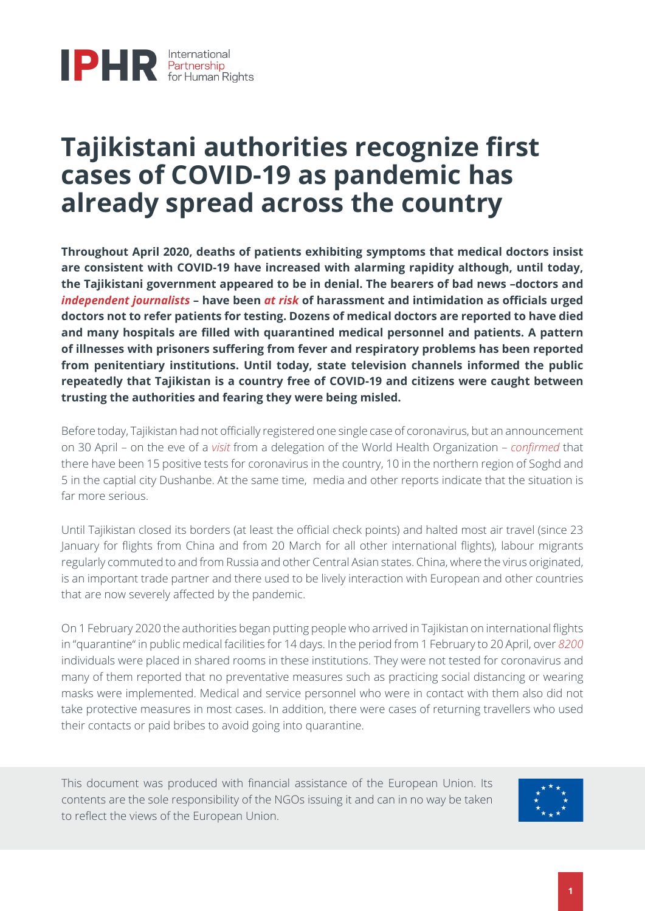

# **Tajikistani authorities recognize first cases of COVID-19 as pandemic has already spread across the country**

**Throughout April 2020, deaths of patients exhibiting symptoms that medical doctors insist are consistent with COVID-19 have increased with alarming rapidity although, until today, the Tajikistani government appeared to be in denial. The bearers of bad news –doctors and**  *[independent journalists](https://www.rferl.org/a/rfe-rl-criticizes-tajikistan-s-attempts-to-interfere-with-coronavirus-reporting/30521481.html)* **– have been** *[at risk](https://www.iphronline.org/tajikistan-transparency-key-to-building-public-trust-on-covid-19.html)* **of harassment and intimidation as officials urged doctors not to refer patients for testing. Dozens of medical doctors are reported to have died and many hospitals are filled with quarantined medical personnel and patients. A pattern of illnesses with prisoners suffering from fever and respiratory problems has been reported from penitentiary institutions. Until today, state television channels informed the public repeatedly that Tajikistan is a country free of COVID-19 and citizens were caught between trusting the authorities and fearing they were being misled.**

Before today, Tajikistan had not officially registered one single case of coronavirus, but an announcement on 30 April – on the eve of a *[visit](https://rus.ozodi.org/a/постпред-воз-в-таджикистане-мы-должны-быть-готовы-к-худшему-сценарию/30579899.html)* from a delegation of the World Health Organization – *[confirmed](https://tj.sputniknews.ru/country/20200430/1031157325/tajikistan-vyyavlen-novyy-koronavirus.html)* that there have been 15 positive tests for coronavirus in the country, 10 in the northern region of Soghd and 5 in the captial city Dushanbe. At the same time, media and other reports indicate that the situation is far more serious.

Until Tajikistan closed its borders (at least the official check points) and halted most air travel (since 23 January for flights from China and from 20 March for all other international flights), labour migrants regularly commuted to and from Russia and other Central Asian states. China, where the virus originated, is an important trade partner and there used to be lively interaction with European and other countries that are now severely affected by the pandemic.

On 1 February 2020 the authorities began putting people who arrived in Tajikistan on international flights in "quarantine" in public medical facilities for 14 days. In the period from 1 February to 20 April, over *[8200](http://moh.tj/8212-%D1%87%D0%B5%D0%BB%D0%BE%D0%B2%D0%B5%D0%BA-%D0%BD%D0%B0%D1%85%D0%BE%D0%B4%D0%B8%D0%BB%D0%B8%D1%81%D1%8C-%D0%BD%D0%B0-%D0%BA%D0%B0%D1%80%D0%B0%D0%BD%D1%82%D0%B8%D0%BD%D0%B5/?lang=ru)* individuals were placed in shared rooms in these institutions. They were not tested for coronavirus and many of them reported that no preventative measures such as practicing social distancing or wearing masks were implemented. Medical and service personnel who were in contact with them also did not take protective measures in most cases. In addition, there were cases of returning travellers who used their contacts or paid bribes to avoid going into quarantine.

This document was produced with financial assistance of the European Union. Its contents are the sole responsibility of the NGOs issuing it and can in no way be taken to reflect the views of the European Union.

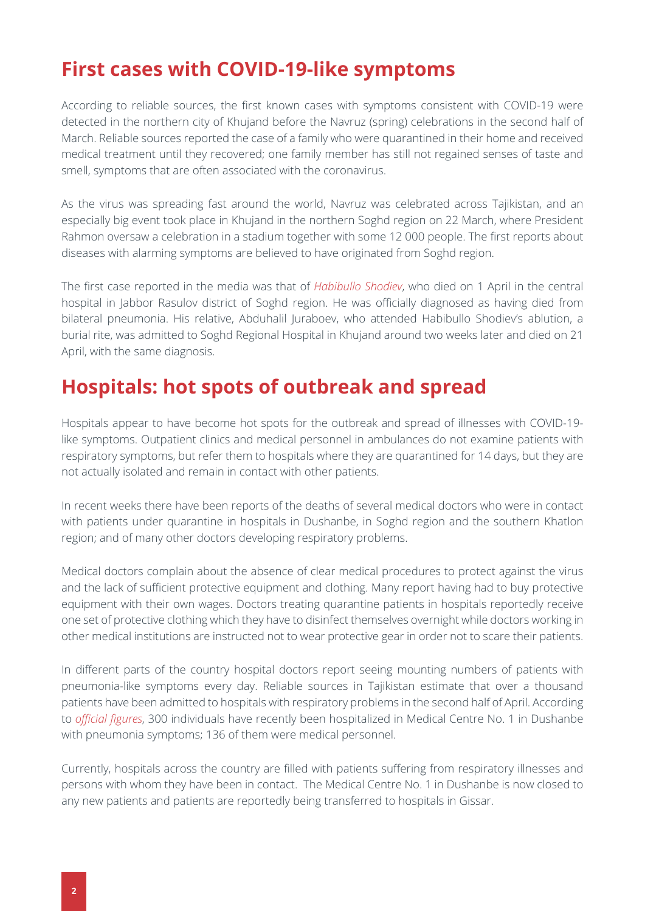#### **First cases with COVID-19-like symptoms**

According to reliable sources, the first known cases with symptoms consistent with COVID-19 were detected in the northern city of Khujand before the Navruz (spring) celebrations in the second half of March. Reliable sources reported the case of a family who were quarantined in their home and received medical treatment until they recovered; one family member has still not regained senses of taste and smell, symptoms that are often associated with the coronavirus.

As the virus was spreading fast around the world, Navruz was celebrated across Tajikistan, and an especially big event took place in Khujand in the northern Soghd region on 22 March, where President Rahmon oversaw a celebration in a stadium together with some 12 000 people. The first reports about diseases with alarming symptoms are believed to have originated from Soghd region.

The first case reported in the media was that of *[Habibullo Shodiev](https://rus.ozodi.org/a/30541925.html)*, who died on 1 April in the central hospital in Jabbor Rasulov district of Soghd region. He was officially diagnosed as having died from bilateral pneumonia. His relative, Abduhalil Juraboev, who attended Habibullo Shodiev's ablution, a burial rite, was admitted to Soghd Regional Hospital in Khujand around two weeks later and died on 21 April, with the same diagnosis.

### **Hospitals: hot spots of outbreak and spread**

Hospitals appear to have become hot spots for the outbreak and spread of illnesses with COVID-19 like symptoms. Outpatient clinics and medical personnel in ambulances do not examine patients with respiratory symptoms, but refer them to hospitals where they are quarantined for 14 days, but they are not actually isolated and remain in contact with other patients.

In recent weeks there have been reports of the deaths of several medical doctors who were in contact with patients under quarantine in hospitals in Dushanbe, in Soghd region and the southern Khatlon region; and of many other doctors developing respiratory problems.

Medical doctors complain about the absence of clear medical procedures to protect against the virus and the lack of sufficient protective equipment and clothing. Many report having had to buy protective equipment with their own wages. Doctors treating quarantine patients in hospitals reportedly receive one set of protective clothing which they have to disinfect themselves overnight while doctors working in other medical institutions are instructed not to wear protective gear in order not to scare their patients.

In different parts of the country hospital doctors report seeing mounting numbers of patients with pneumonia-like symptoms every day. Reliable sources in Tajikistan estimate that over a thousand patients have been admitted to hospitals with respiratory problems in the second half of April. According to *[official figures](https://rus.ozodi.org/a/30579581.html)*, 300 individuals have recently been hospitalized in Medical Centre No. 1 in Dushanbe with pneumonia symptoms; 136 of them were medical personnel.

Currently, hospitals across the country are filled with patients suffering from respiratory illnesses and persons with whom they have been in contact. The Medical Centre No. 1 in Dushanbe is now closed to any new patients and patients are reportedly being transferred to hospitals in Gissar.